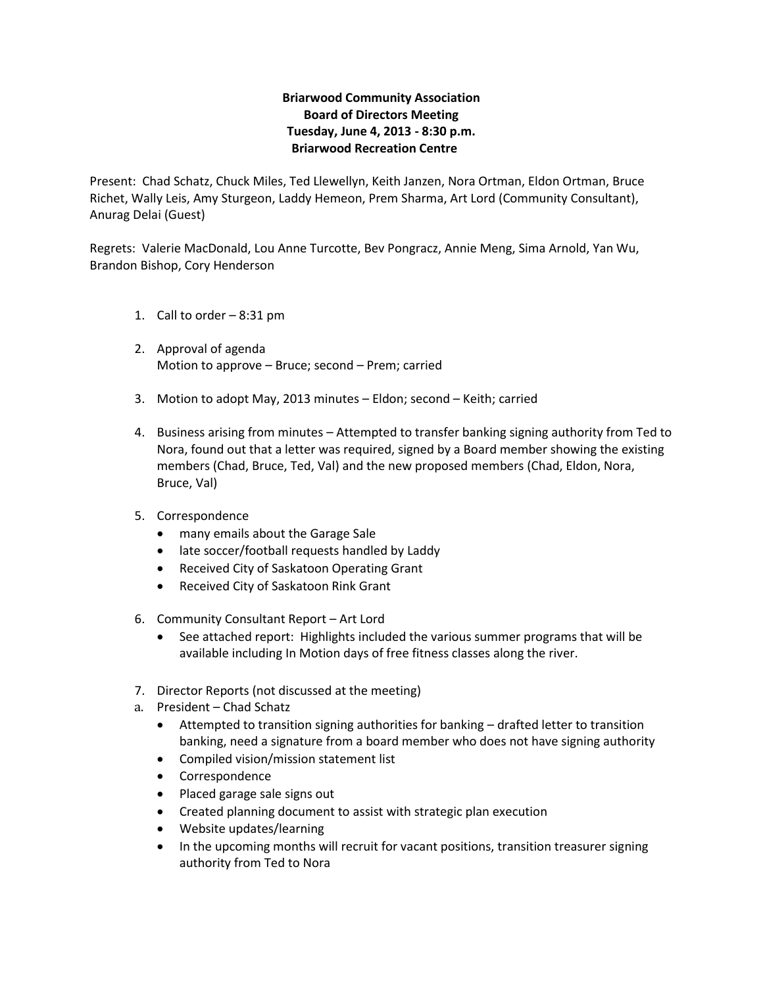## **Briarwood Community Association Board of Directors Meeting Tuesday, June 4, 2013 - 8:30 p.m. Briarwood Recreation Centre**

Present: Chad Schatz, Chuck Miles, Ted Llewellyn, Keith Janzen, Nora Ortman, Eldon Ortman, Bruce Richet, Wally Leis, Amy Sturgeon, Laddy Hemeon, Prem Sharma, Art Lord (Community Consultant), Anurag Delai (Guest)

Regrets: Valerie MacDonald, Lou Anne Turcotte, Bev Pongracz, Annie Meng, Sima Arnold, Yan Wu, Brandon Bishop, Cory Henderson

- 1. Call to order 8:31 pm
- 2. Approval of agenda Motion to approve – Bruce; second – Prem; carried
- 3. Motion to adopt May, 2013 minutes Eldon; second Keith; carried
- 4. Business arising from minutes Attempted to transfer banking signing authority from Ted to Nora, found out that a letter was required, signed by a Board member showing the existing members (Chad, Bruce, Ted, Val) and the new proposed members (Chad, Eldon, Nora, Bruce, Val)
- 5. Correspondence
	- many emails about the Garage Sale
	- late soccer/football requests handled by Laddy
	- Received City of Saskatoon Operating Grant
	- Received City of Saskatoon Rink Grant
- 6. Community Consultant Report Art Lord
	- See attached report: Highlights included the various summer programs that will be available including In Motion days of free fitness classes along the river.
- 7. Director Reports (not discussed at the meeting)
- a. President Chad Schatz
	- Attempted to transition signing authorities for banking drafted letter to transition banking, need a signature from a board member who does not have signing authority
	- Compiled vision/mission statement list
	- Correspondence
	- Placed garage sale signs out
	- Created planning document to assist with strategic plan execution
	- Website updates/learning
	- In the upcoming months will recruit for vacant positions, transition treasurer signing authority from Ted to Nora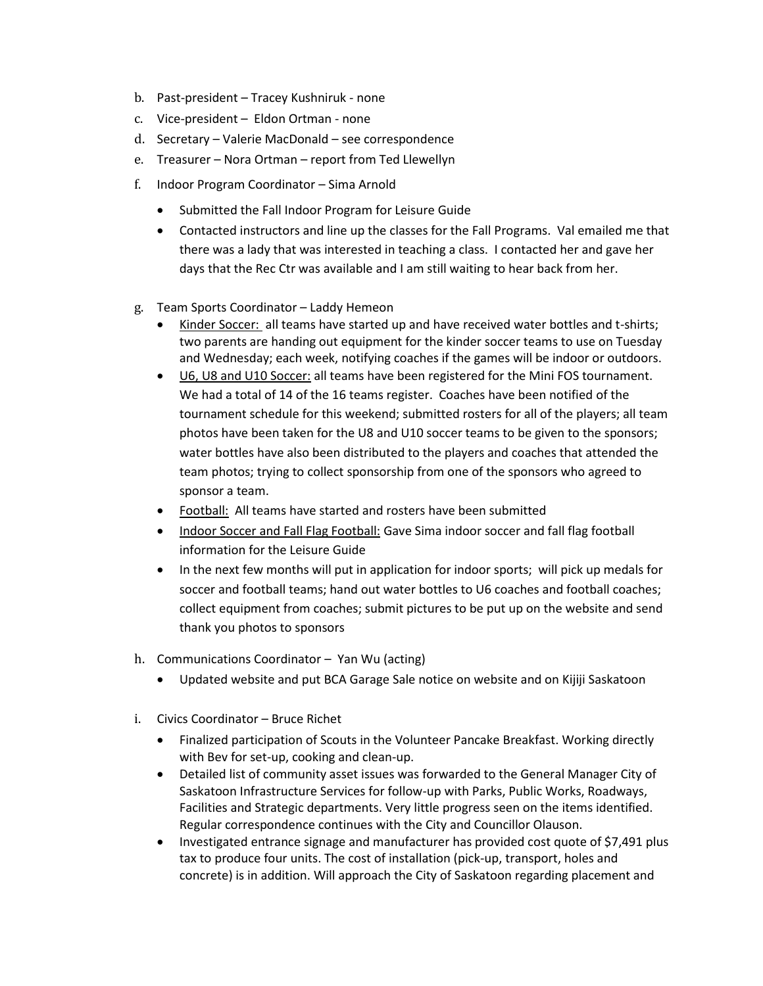- b. Past-president Tracey Kushniruk none
- c. Vice-president Eldon Ortman none
- d. Secretary Valerie MacDonald see correspondence
- e. Treasurer Nora Ortman report from Ted Llewellyn
- f. Indoor Program Coordinator Sima Arnold
	- Submitted the Fall Indoor Program for Leisure Guide
	- Contacted instructors and line up the classes for the Fall Programs. Val emailed me that there was a lady that was interested in teaching a class. I contacted her and gave her days that the Rec Ctr was available and I am still waiting to hear back from her.
- g. Team Sports Coordinator Laddy Hemeon
	- Kinder Soccer: all teams have started up and have received water bottles and t-shirts; two parents are handing out equipment for the kinder soccer teams to use on Tuesday and Wednesday; each week, notifying coaches if the games will be indoor or outdoors.
	- U6, U8 and U10 Soccer: all teams have been registered for the Mini FOS tournament. We had a total of 14 of the 16 teams register. Coaches have been notified of the tournament schedule for this weekend; submitted rosters for all of the players; all team photos have been taken for the U8 and U10 soccer teams to be given to the sponsors; water bottles have also been distributed to the players and coaches that attended the team photos; trying to collect sponsorship from one of the sponsors who agreed to sponsor a team.
	- Football: All teams have started and rosters have been submitted
	- Indoor Soccer and Fall Flag Football: Gave Sima indoor soccer and fall flag football information for the Leisure Guide
	- In the next few months will put in application for indoor sports; will pick up medals for soccer and football teams; hand out water bottles to U6 coaches and football coaches; collect equipment from coaches; submit pictures to be put up on the website and send thank you photos to sponsors
- h. Communications Coordinator Yan Wu (acting)
	- Updated website and put BCA Garage Sale notice on website and on Kijiji Saskatoon
- i. Civics Coordinator Bruce Richet
	- Finalized participation of Scouts in the Volunteer Pancake Breakfast. Working directly with Bev for set-up, cooking and clean-up.
	- Detailed list of community asset issues was forwarded to the General Manager City of Saskatoon Infrastructure Services for follow-up with Parks, Public Works, Roadways, Facilities and Strategic departments. Very little progress seen on the items identified. Regular correspondence continues with the City and Councillor Olauson.
	- Investigated entrance signage and manufacturer has provided cost quote of \$7,491 plus tax to produce four units. The cost of installation (pick-up, transport, holes and concrete) is in addition. Will approach the City of Saskatoon regarding placement and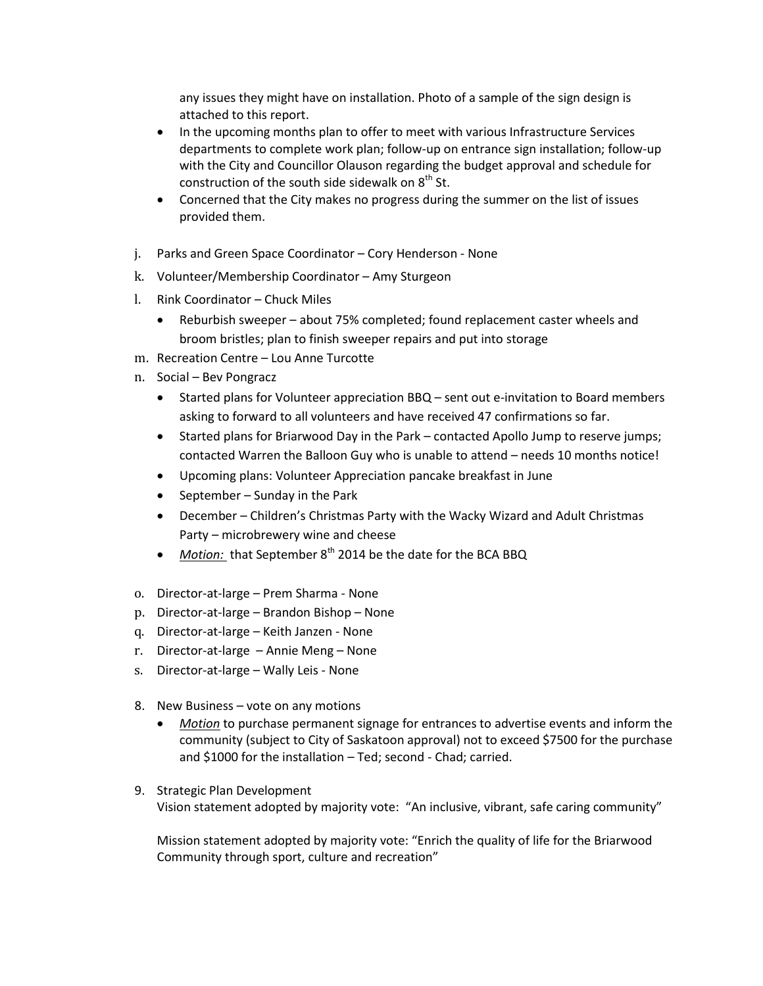any issues they might have on installation. Photo of a sample of the sign design is attached to this report.

- In the upcoming months plan to offer to meet with various Infrastructure Services departments to complete work plan; follow-up on entrance sign installation; follow-up with the City and Councillor Olauson regarding the budget approval and schedule for construction of the south side sidewalk on  $8<sup>th</sup>$  St.
- Concerned that the City makes no progress during the summer on the list of issues provided them.
- j. Parks and Green Space Coordinator Cory Henderson None
- k. Volunteer/Membership Coordinator Amy Sturgeon
- l. Rink Coordinator Chuck Miles
	- Reburbish sweeper about 75% completed; found replacement caster wheels and broom bristles; plan to finish sweeper repairs and put into storage
- m. Recreation Centre Lou Anne Turcotte
- n. Social Bev Pongracz
	- Started plans for Volunteer appreciation BBQ sent out e-invitation to Board members asking to forward to all volunteers and have received 47 confirmations so far.
	- Started plans for Briarwood Day in the Park contacted Apollo Jump to reserve jumps; contacted Warren the Balloon Guy who is unable to attend – needs 10 months notice!
	- Upcoming plans: Volunteer Appreciation pancake breakfast in June
	- September Sunday in the Park
	- December Children's Christmas Party with the Wacky Wizard and Adult Christmas Party – microbrewery wine and cheese
	- Motion: that September 8<sup>th</sup> 2014 be the date for the BCA BBQ
- o. Director-at-large Prem Sharma None
- p. Director-at-large Brandon Bishop None
- q. Director-at-large Keith Janzen None
- r. Director-at-large Annie Meng None
- s. Director-at-large Wally Leis None
- 8. New Business vote on any motions
	- *Motion* to purchase permanent signage for entrances to advertise events and inform the community (subject to City of Saskatoon approval) not to exceed \$7500 for the purchase and \$1000 for the installation – Ted; second - Chad; carried.
- 9. Strategic Plan Development Vision statement adopted by majority vote: "An inclusive, vibrant, safe caring community"

Mission statement adopted by majority vote: "Enrich the quality of life for the Briarwood Community through sport, culture and recreation"